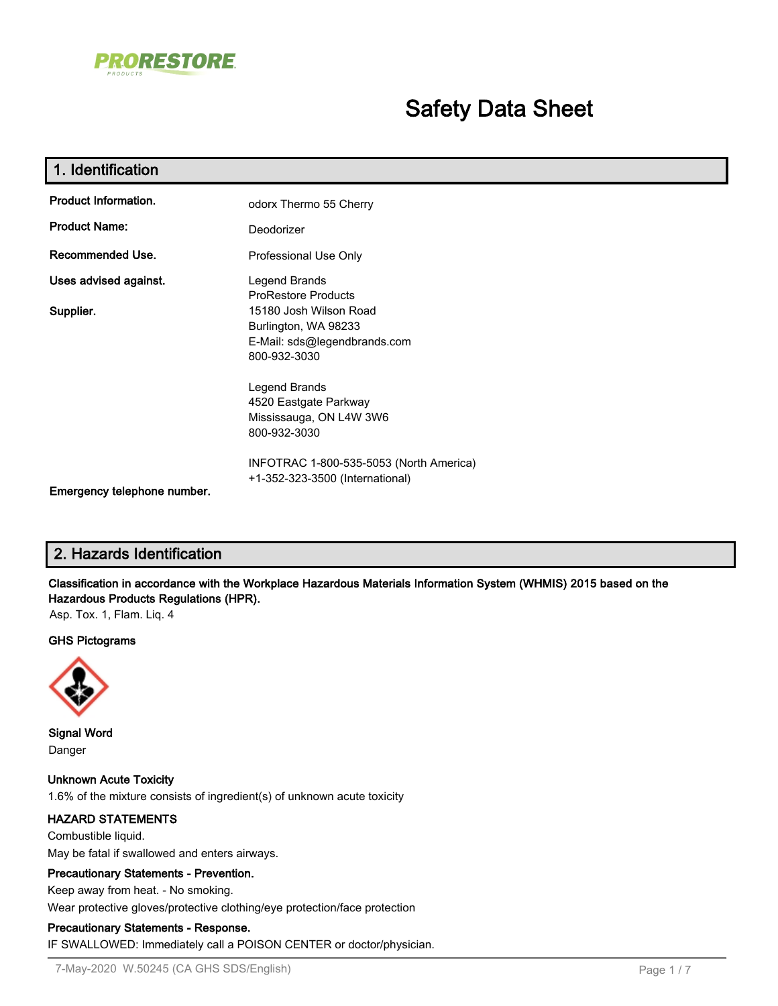

# **Safety Data Sheet**

| 1. Identification           |                                                                                                |
|-----------------------------|------------------------------------------------------------------------------------------------|
| <b>Product Information.</b> | odorx Thermo 55 Cherry                                                                         |
| <b>Product Name:</b>        | Deodorizer                                                                                     |
| Recommended Use.            | Professional Use Only                                                                          |
| Uses advised against.       | Legend Brands<br><b>ProRestore Products</b>                                                    |
| Supplier.                   | 15180 Josh Wilson Road<br>Burlington, WA 98233<br>E-Mail: sds@legendbrands.com<br>800-932-3030 |
|                             | Legend Brands<br>4520 Eastgate Parkway<br>Mississauga, ON L4W 3W6<br>800-932-3030              |
| Emergency telephone number. | INFOTRAC 1-800-535-5053 (North America)<br>+1-352-323-3500 (International)                     |

# **2. Hazards Identification**

**Classification in accordance with the Workplace Hazardous Materials Information System (WHMIS) 2015 based on the Hazardous Products Regulations (HPR).**

Asp. Tox. 1, Flam. Liq. 4

#### **GHS Pictograms**



**Signal Word** Danger

**Unknown Acute Toxicity** 1.6% of the mixture consists of ingredient(s) of unknown acute toxicity

#### **HAZARD STATEMENTS**

Combustible liquid. May be fatal if swallowed and enters airways.

# **Precautionary Statements - Prevention.**

Keep away from heat. - No smoking.

Wear protective gloves/protective clothing/eye protection/face protection

#### **Precautionary Statements - Response.**

IF SWALLOWED: Immediately call a POISON CENTER or doctor/physician.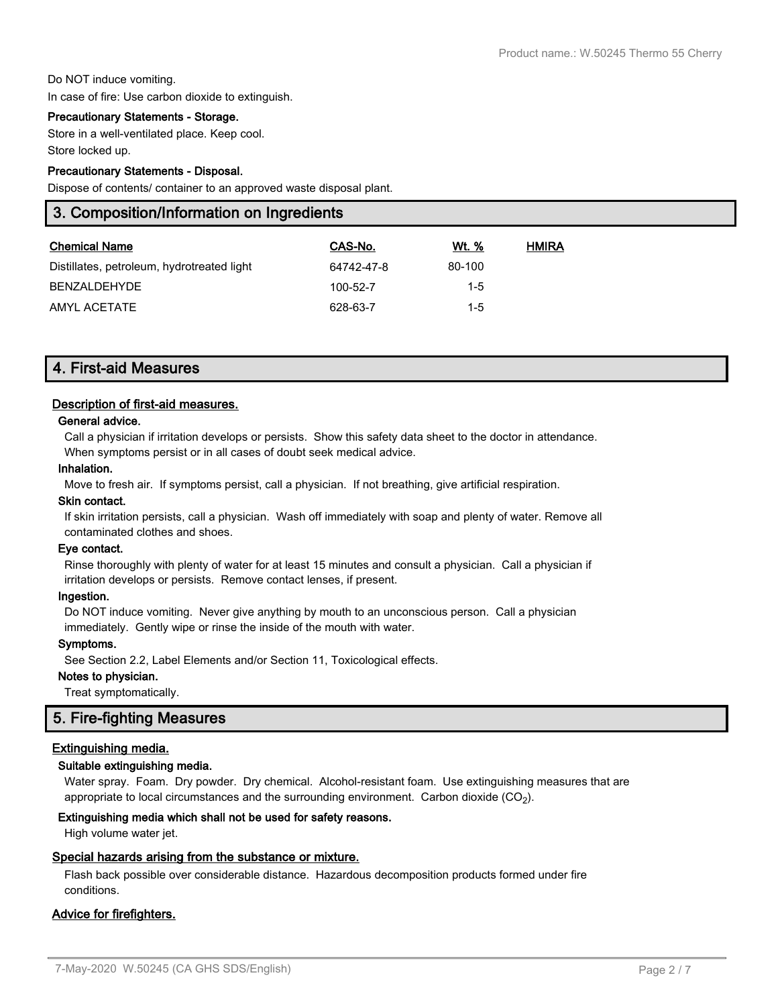#### Do NOT induce vomiting.

In case of fire: Use carbon dioxide to extinguish.

#### **Precautionary Statements - Storage.**

Store in a well-ventilated place. Keep cool. Store locked up.

#### **Precautionary Statements - Disposal.**

Dispose of contents/ container to an approved waste disposal plant.

# **3. Composition/Information on Ingredients**

| <b>Chemical Name</b>                       | CAS-No.    | Wt. %   | <b>HMIRA</b> |
|--------------------------------------------|------------|---------|--------------|
| Distillates, petroleum, hydrotreated light | 64742-47-8 | 80-100  |              |
| <b>BENZALDEHYDE</b>                        | 100-52-7   | $1-5$   |              |
| AMYL ACETATE                               | 628-63-7   | $1 - 5$ |              |

# **4. First-aid Measures**

#### **Description of first-aid measures.**

#### **General advice.**

Call a physician if irritation develops or persists. Show this safety data sheet to the doctor in attendance. When symptoms persist or in all cases of doubt seek medical advice.

#### **Inhalation.**

Move to fresh air. If symptoms persist, call a physician. If not breathing, give artificial respiration.

#### **Skin contact.**

If skin irritation persists, call a physician. Wash off immediately with soap and plenty of water. Remove all contaminated clothes and shoes.

#### **Eye contact.**

Rinse thoroughly with plenty of water for at least 15 minutes and consult a physician. Call a physician if irritation develops or persists. Remove contact lenses, if present.

#### **Ingestion.**

Do NOT induce vomiting. Never give anything by mouth to an unconscious person. Call a physician immediately. Gently wipe or rinse the inside of the mouth with water.

#### **Symptoms.**

See Section 2.2, Label Elements and/or Section 11, Toxicological effects.

#### **Notes to physician.**

Treat symptomatically.

# **5. Fire-fighting Measures**

### **Extinguishing media.**

#### **Suitable extinguishing media.**

Water spray. Foam. Dry powder. Dry chemical. Alcohol-resistant foam. Use extinguishing measures that are appropriate to local circumstances and the surrounding environment.  $\rm \, Carbon$  dioxide  $\rm (CO_2).$ 

#### **Extinguishing media which shall not be used for safety reasons.**

High volume water jet.

#### **Special hazards arising from the substance or mixture.**

Flash back possible over considerable distance. Hazardous decomposition products formed under fire conditions.

#### **Advice for firefighters.**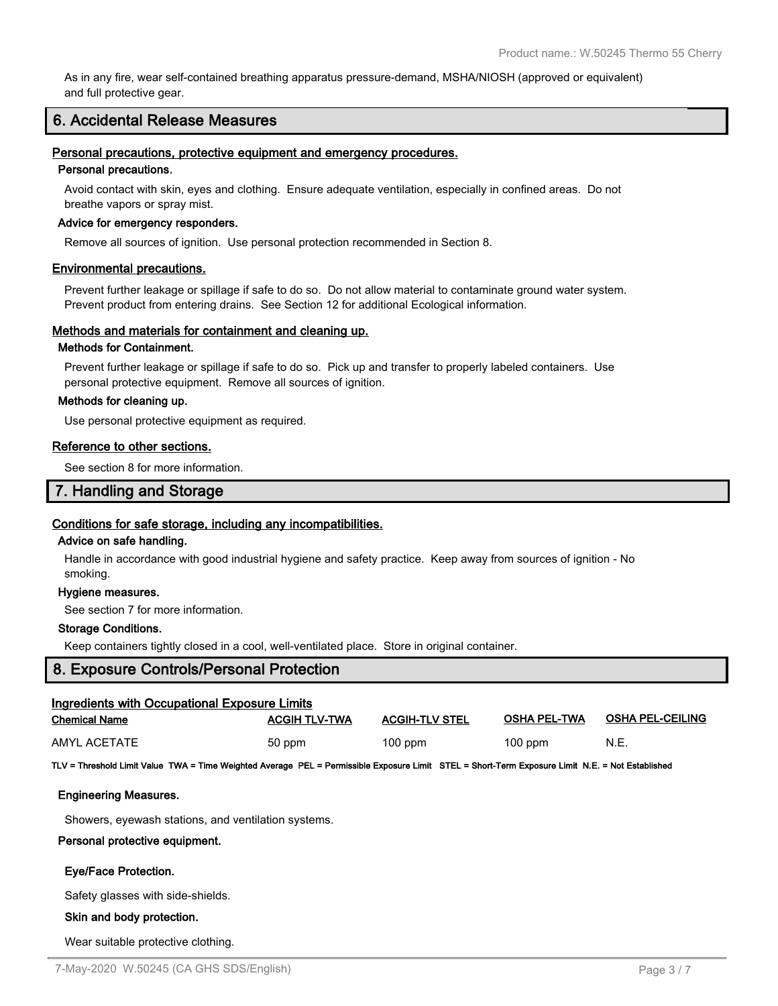As in any fire, wear self-contained breathing apparatus pressure-demand, MSHA/NIOSH (approved or equivalent) and full protective gear.

# **6. Accidental Release Measures**

#### **Personal precautions, protective equipment and emergency procedures.**

#### **Personal precautions.**

Avoid contact with skin, eyes and clothing. Ensure adequate ventilation, especially in confined areas. Do not breathe vapors or spray mist.

#### **Advice for emergency responders.**

Remove all sources of ignition. Use personal protection recommended in Section 8.

#### **Environmental precautions.**

Prevent further leakage or spillage if safe to do so. Do not allow material to contaminate ground water system. Prevent product from entering drains. See Section 12 for additional Ecological information.

#### **Methods and materials for containment and cleaning up.**

#### **Methods for Containment.**

Prevent further leakage or spillage if safe to do so. Pick up and transfer to properly labeled containers. Use personal protective equipment. Remove all sources of ignition.

#### **Methods for cleaning up.**

Use personal protective equipment as required.

#### **Reference to other sections.**

See section 8 for more information.

## **7. Handling and Storage**

#### **Conditions for safe storage, including any incompatibilities.**

#### **Advice on safe handling.**

Handle in accordance with good industrial hygiene and safety practice. Keep away from sources of ignition - No smoking.

#### **Hygiene measures.**

See section 7 for more information.

#### **Storage Conditions.**

Keep containers tightly closed in a cool, well-ventilated place. Store in original container.

# **8. Exposure Controls/Personal Protection**

| Ingredients with Occupational Exposure Limits                                                                                                    |                      |                       |                     |                         |  |  |
|--------------------------------------------------------------------------------------------------------------------------------------------------|----------------------|-----------------------|---------------------|-------------------------|--|--|
| <b>Chemical Name</b>                                                                                                                             | <b>ACGIH TLV-TWA</b> | <b>ACGIH-TLV STEL</b> | <b>OSHA PEL-TWA</b> | <b>OSHA PEL-CEILING</b> |  |  |
| <b>AMYL ACETATE</b>                                                                                                                              | 50 ppm               | $100$ ppm             | $100$ ppm           | N.E.                    |  |  |
| TLV = Threshold Limit Value TWA = Time Weighted Average PEL = Permissible Exposure Limit STEL = Short-Term Exposure Limit N.E. = Not Established |                      |                       |                     |                         |  |  |
| <b>Engineering Measures.</b>                                                                                                                     |                      |                       |                     |                         |  |  |
| Showers, eyewash stations, and ventilation systems.                                                                                              |                      |                       |                     |                         |  |  |
| Personal protective equipment.                                                                                                                   |                      |                       |                     |                         |  |  |
| Eye/Face Protection.                                                                                                                             |                      |                       |                     |                         |  |  |
| Safety glasses with side-shields.                                                                                                                |                      |                       |                     |                         |  |  |
| Skin and body protection.                                                                                                                        |                      |                       |                     |                         |  |  |
|                                                                                                                                                  |                      |                       |                     |                         |  |  |

Wear suitable protective clothing.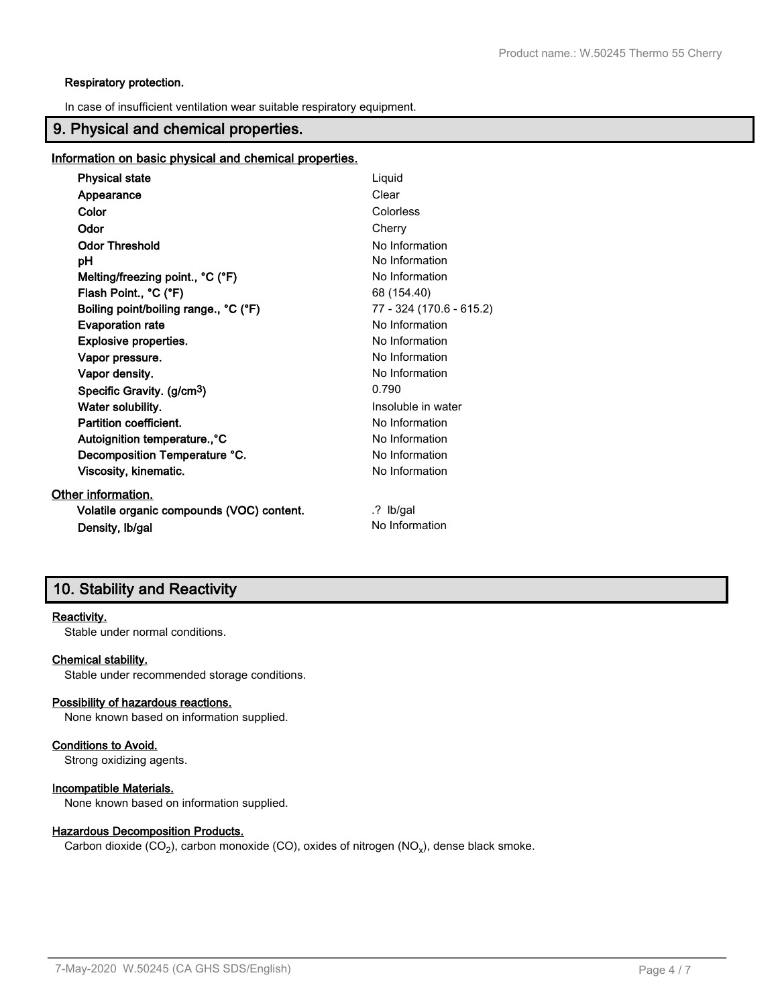#### **Respiratory protection.**

In case of insufficient ventilation wear suitable respiratory equipment.

# **9. Physical and chemical properties.**

#### **Information on basic physical and chemical properties.**

| <b>Physical state</b>                     | Liquid                   |
|-------------------------------------------|--------------------------|
| Appearance                                | Clear                    |
| Color                                     | Colorless                |
| Odor                                      | Cherry                   |
| <b>Odor Threshold</b>                     | No Information           |
| рH                                        | No Information           |
| Melting/freezing point., °C (°F)          | No Information           |
| Flash Point., °C (°F)                     | 68 (154.40)              |
| Boiling point/boiling range., °C (°F)     | 77 - 324 (170.6 - 615.2) |
| <b>Evaporation rate</b>                   | No Information           |
| <b>Explosive properties.</b>              | No Information           |
| Vapor pressure.                           | No Information           |
| Vapor density.                            | No Information           |
| Specific Gravity. (g/cm <sup>3</sup> )    | 0.790                    |
| Water solubility.                         | Insoluble in water       |
| Partition coefficient.                    | No Information           |
| Autoignition temperature., °C             | No Information           |
| Decomposition Temperature °C.             | No Information           |
| Viscosity, kinematic.                     | No Information           |
| Other information.                        |                          |
| Volatile organic compounds (VOC) content. | .? Ib/gal                |
| Density, Ib/gal                           | No Information           |

# **10. Stability and Reactivity**

# **Reactivity.**

Stable under normal conditions.

#### **Chemical stability.**

Stable under recommended storage conditions.

#### **Possibility of hazardous reactions.**

None known based on information supplied.

#### **Conditions to Avoid.**

Strong oxidizing agents.

#### **Incompatible Materials.**

None known based on information supplied.

# **Hazardous Decomposition Products.**

Carbon dioxide (CO<sub>2</sub>), carbon monoxide (CO), oxides of nitrogen (NO<sub>x</sub>), dense black smoke.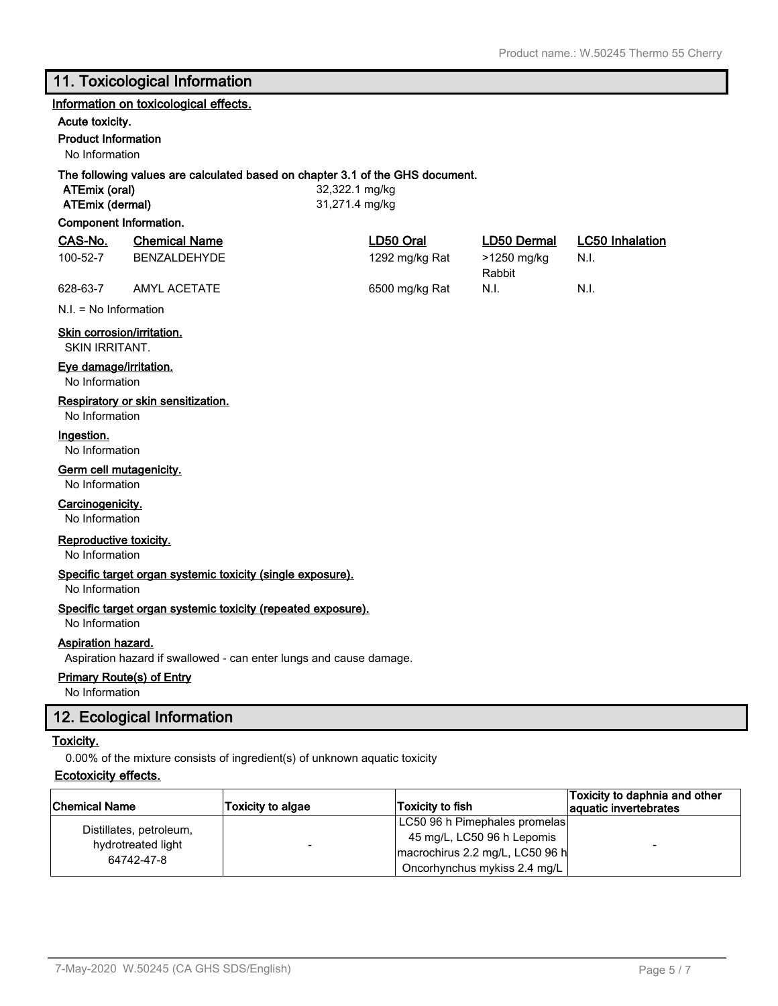# **11. Toxicological Information**

#### **Information on toxicological effects.**

# **Acute toxicity.**

#### **Product Information**

No Information

#### **The following values are calculated based on chapter 3.1 of the GHS document.**

**ATEmix (oral)** 32,322.1 mg/kg **ATEmix (dermal)** 31,271.4 mg/kg

#### **Component Information.**

| CAS-No.  | <b>Chemical Name</b> | LD50 Oral      | LD50 Dermal | <b>LC50 Inhalation</b> |
|----------|----------------------|----------------|-------------|------------------------|
| 100-52-7 | BENZALDEHYDE         | 1292 mg/kg Rat | >1250 mg/kg | - N.I.                 |
|          |                      |                | Rabbit      |                        |
| 628-63-7 | AMYL ACETATE         | 6500 mg/kg Rat | N.I.        | N.I.                   |

N.I. = No Information

**Skin corrosion/irritation.**

SKIN IRRITANT.

#### **Eye damage/irritation.**

No Information

#### **Respiratory or skin sensitization.**

No Information

#### **Ingestion.**

No Information

#### **Germ cell mutagenicity.**

No Information

# **Carcinogenicity.**

No Information

#### **Reproductive toxicity.**

No Information

#### **Specific target organ systemic toxicity (single exposure).**

No Information

#### **Specific target organ systemic toxicity (repeated exposure).**

No Information

# **Aspiration hazard.**

Aspiration hazard if swallowed - can enter lungs and cause damage.

# **Primary Route(s) of Entry**

No Information

# **12. Ecological Information**

#### **Toxicity.**

0.00% of the mixture consists of ingredient(s) of unknown aquatic toxicity

# **Ecotoxicity effects.**

| <b>Chemical Name</b>                                        | Toxicity to algae | Toxicity to fish                                                                                                               | Toxicity to daphnia and other<br>aquatic invertebrates |
|-------------------------------------------------------------|-------------------|--------------------------------------------------------------------------------------------------------------------------------|--------------------------------------------------------|
| Distillates, petroleum,<br>hydrotreated light<br>64742-47-8 | -                 | LC50 96 h Pimephales promelas<br>45 mg/L, LC50 96 h Lepomis<br>macrochirus 2.2 mg/L, LC50 96 h<br>Oncorhynchus mykiss 2.4 mg/L |                                                        |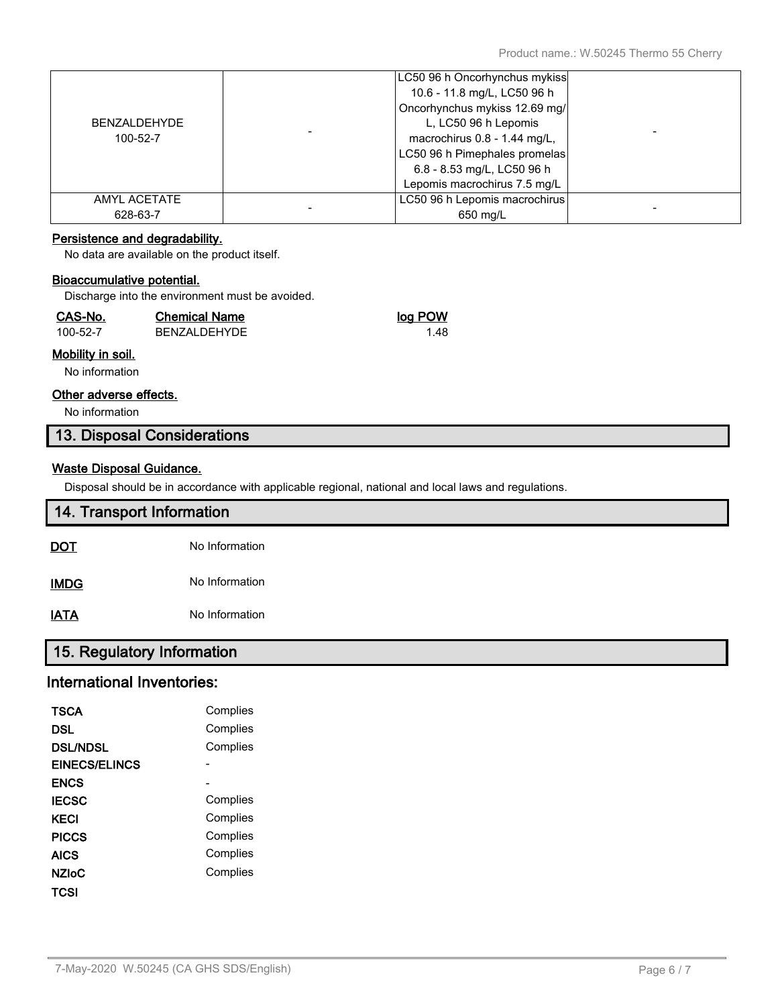|                     | LC50 96 h Oncorhynchus mykiss |  |
|---------------------|-------------------------------|--|
|                     | 10.6 - 11.8 mg/L, LC50 96 h   |  |
|                     | Oncorhynchus mykiss 12.69 mg/ |  |
| <b>BENZALDEHYDE</b> | L, LC50 96 h Lepomis          |  |
| 100-52-7            | macrochirus 0.8 - 1.44 mg/L,  |  |
|                     | LC50 96 h Pimephales promelas |  |
|                     | 6.8 - 8.53 mg/L, LC50 96 h    |  |
|                     | Lepomis macrochirus 7.5 mg/L  |  |
| AMYL ACETATE        | LC50 96 h Lepomis macrochirus |  |
| 628-63-7            | 650 mg/L                      |  |

### **Persistence and degradability.**

No data are available on the product itself.

#### **Bioaccumulative potential.**

Discharge into the environment must be avoided.

| CAS-No.  | <b>Chemical Name</b> | log POW |
|----------|----------------------|---------|
| 100-52-7 | BENZALDEHYDE         | 1.48    |

# **Mobility in soil.**

No information

#### **Other adverse effects.**

No information

# **13. Disposal Considerations**

# **Waste Disposal Guidance.**

Disposal should be in accordance with applicable regional, national and local laws and regulations.

| 14. Transport Information |                |  |  |
|---------------------------|----------------|--|--|
| <u>DOT</u>                | No Information |  |  |
| <b>IMDG</b>               | No Information |  |  |
| <b>IATA</b>               | No Information |  |  |

# **15. Regulatory Information**

# **International Inventories:**

| TSCA                 | Complies |
|----------------------|----------|
| DSL                  | Complies |
| <b>DSL/NDSL</b>      | Complies |
| <b>EINECS/ELINCS</b> |          |
| <b>ENCS</b>          |          |
| <b>IECSC</b>         | Complies |
| KECI                 | Complies |
| <b>PICCS</b>         | Complies |
| AICS                 | Complies |
| <b>NZIoC</b>         | Complies |
| TCSI                 |          |
|                      |          |